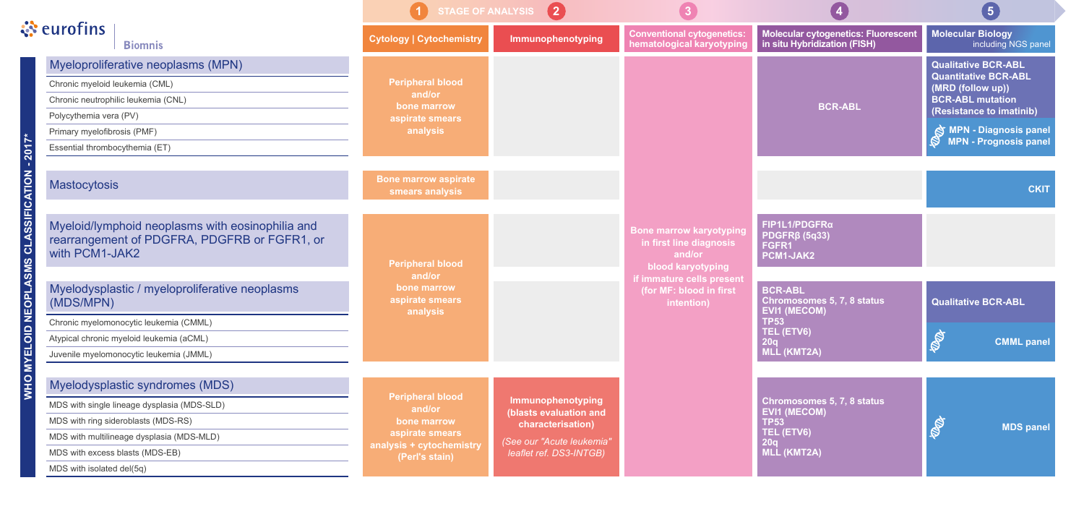| े <b>ं</b> eurofins<br><b>Biomnis</b> |                                                                                                                                                                                                                                                                                                                    | STAGE OF ANALYSIS (2)                                                                                             |                                                                                                                          |                                                                                                                                                                |                                                                                                                                                                                             | (5)                                                                                                                                                                                                                    |
|---------------------------------------|--------------------------------------------------------------------------------------------------------------------------------------------------------------------------------------------------------------------------------------------------------------------------------------------------------------------|-------------------------------------------------------------------------------------------------------------------|--------------------------------------------------------------------------------------------------------------------------|----------------------------------------------------------------------------------------------------------------------------------------------------------------|---------------------------------------------------------------------------------------------------------------------------------------------------------------------------------------------|------------------------------------------------------------------------------------------------------------------------------------------------------------------------------------------------------------------------|
|                                       |                                                                                                                                                                                                                                                                                                                    | <b>Cytology   Cytochemistry</b>                                                                                   | Immunophenotyping                                                                                                        | <b>Conventional cytogenetics:</b><br>hematological karyotyping                                                                                                 | Molecular cytogenetics: Fluorescent<br>in situ Hybridization (FISH)                                                                                                                         | <b>Molecular Biology</b><br>including NGS panel                                                                                                                                                                        |
| $2017*$                               | Myeloproliferative neoplasms (MPN)<br>Chronic myeloid leukemia (CML)<br>Chronic neutrophilic leukemia (CNL)<br>Polycythemia vera (PV)<br>Primary myelofibrosis (PMF)<br>Essential thrombocythemia (ET)                                                                                                             | <b>Peripheral blood</b><br>and/or<br>bone marrow<br>aspirate smears<br>analysis                                   |                                                                                                                          |                                                                                                                                                                | <b>BCR-ABL</b>                                                                                                                                                                              | <b>Qualitative BCR-ABL</b><br><b>Quantitative BCR-ABL</b><br>(MRD (follow up))<br><b>BCR-ABL mutation</b><br>(Resistance to imatinib)<br><b>SMPN</b> - Diagnosis panel<br><b>MPN - Prognosis panel</b><br>$\mathbb{S}$ |
|                                       | <b>Mastocytosis</b>                                                                                                                                                                                                                                                                                                | <b>Bone marrow aspirate</b><br>smears analysis                                                                    |                                                                                                                          |                                                                                                                                                                |                                                                                                                                                                                             | <b>CKIT</b>                                                                                                                                                                                                            |
| O MYELOID NEOPLASMS CLASSIFICATION -  | Myeloid/lymphoid neoplasms with eosinophilia and<br>rearrangement of PDGFRA, PDGFRB or FGFR1, or<br>with PCM1-JAK2<br>Myelodysplastic / myeloproliferative neoplasms<br>(MDS/MPN)<br>Chronic myelomonocytic leukemia (CMML)<br>Atypical chronic myeloid leukemia (aCML)<br>Juvenile myelomonocytic leukemia (JMML) | <b>Peripheral blood</b><br>and/or<br>bone marrow<br>aspirate smears<br>analysis                                   |                                                                                                                          | <b>Bone marrow karyotyping</b><br>in first line diagnosis<br>and/or<br>blood karyotyping<br>if immature cells present<br>(for MF: blood in first<br>intention) | FIP1L1/PDGFRa<br>$PDGFR\beta$ (5q33)<br>FGFR1<br>PCM1-JAK2<br><b>BCR-ABL</b><br><b>Chromosomes 5, 7, 8 status</b><br><b>EVI1 (MECOM)</b><br><b>TP53</b><br>TEL (ETV6)<br>20q<br>MLL (KMT2A) | <b>Qualitative BCR-ABL</b><br><b>BO</b><br><b>CMML panel</b>                                                                                                                                                           |
|                                       | Myelodysplastic syndromes (MDS)<br>MDS with single lineage dysplasia (MDS-SLD)<br>MDS with ring sideroblasts (MDS-RS)<br>MDS with multilineage dysplasia (MDS-MLD)<br>MDS with excess blasts (MDS-EB)<br>MDS with isolated del(5q)                                                                                 | <b>Peripheral blood</b><br>and/or<br>bone marrow<br>aspirate smears<br>analysis + cytochemistry<br>(Perl's stain) | Immunophenotyping<br>(blasts evaluation and<br>characterisation)<br>(See our "Acute leukemia"<br>leaflet ref. DS3-INTGB) |                                                                                                                                                                | Chromosomes 5, 7, 8 status<br><b>EVI1 (MECOM)</b><br><b>TP53</b><br>TEL (ETV6)<br>20q<br>MLL (KMT2A)                                                                                        | <b>POT</b><br><b>MDS panel</b>                                                                                                                                                                                         |